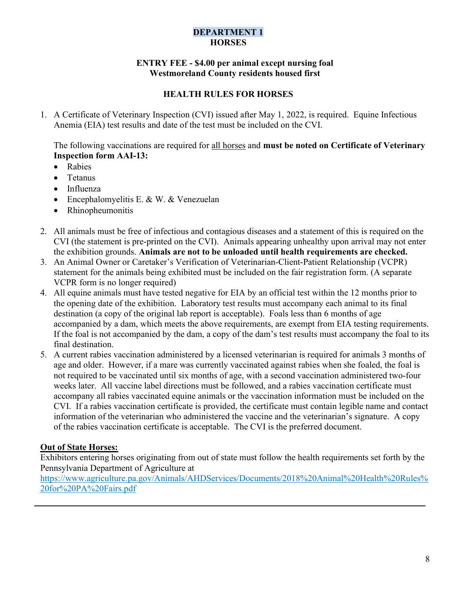#### DEPARTMENT 1 **HORSES**

#### ENTRY FEE - \$4.00 per animal except nursing foal Westmoreland County residents housed first

## HEALTH RULES FOR HORSES

1. A Certificate of Veterinary Inspection (CVI) issued after May 1, 2022, is required. Equine Infectious Anemia (EIA) test results and date of the test must be included on the CVI.

The following vaccinations are required for all horses and **must be noted on Certificate of Veterinary** Inspection form AAI-13:

- Rabies
- Tetanus
- Influenza
- Encephalomyelitis E. & W. & Venezuelan
- Rhinopheumonitis
- 2. All animals must be free of infectious and contagious diseases and a statement of this is required on the CVI (the statement is pre-printed on the CVI). Animals appearing unhealthy upon arrival may not enter the exhibition grounds. Animals are not to be unloaded until health requirements are checked.
- 3. An Animal Owner or Caretaker's Verification of Veterinarian-Client-Patient Relationship (VCPR) statement for the animals being exhibited must be included on the fair registration form. (A separate VCPR form is no longer required)
- 4. All equine animals must have tested negative for EIA by an official test within the 12 months prior to the opening date of the exhibition. Laboratory test results must accompany each animal to its final destination (a copy of the original lab report is acceptable). Foals less than 6 months of age accompanied by a dam, which meets the above requirements, are exempt from EIA testing requirements. If the foal is not accompanied by the dam, a copy of the dam's test results must accompany the foal to its final destination.
- 5. A current rabies vaccination administered by a licensed veterinarian is required for animals 3 months of age and older. However, if a mare was currently vaccinated against rabies when she foaled, the foal is not required to be vaccinated until six months of age, with a second vaccination administered two-four weeks later. All vaccine label directions must be followed, and a rabies vaccination certificate must accompany all rabies vaccinated equine animals or the vaccination information must be included on the CVI. If a rabies vaccination certificate is provided, the certificate must contain legible name and contact information of the veterinarian who administered the vaccine and the veterinarian's signature. A copy of the rabies vaccination certificate is acceptable. The CVI is the preferred document.

### Out of State Horses:

Exhibitors entering horses originating from out of state must follow the health requirements set forth by the Pennsylvania Department of Agriculture at

https://www.agriculture.pa.gov/Animals/AHDServices/Documents/2018%20Animal%20Health%20Rules% 20for%20PA%20Fairs.pdf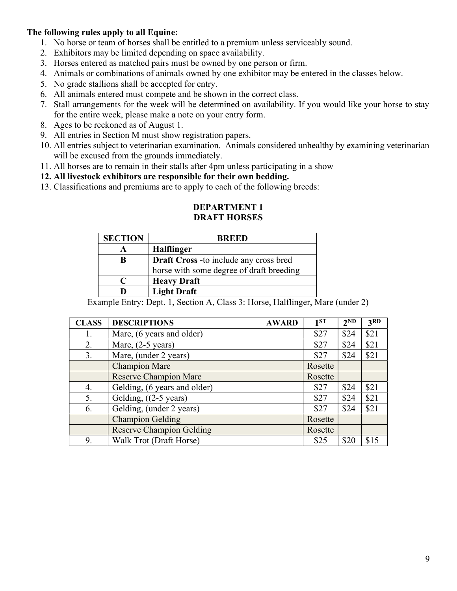#### The following rules apply to all Equine:

- 1. No horse or team of horses shall be entitled to a premium unless serviceably sound.
- 2. Exhibitors may be limited depending on space availability.
- 3. Horses entered as matched pairs must be owned by one person or firm.
- 4. Animals or combinations of animals owned by one exhibitor may be entered in the classes below.
- 5. No grade stallions shall be accepted for entry.
- 6. All animals entered must compete and be shown in the correct class.
- 7. Stall arrangements for the week will be determined on availability. If you would like your horse to stay for the entire week, please make a note on your entry form.
- 8. Ages to be reckoned as of August 1.
- 9. All entries in Section M must show registration papers.
- 10. All entries subject to veterinarian examination. Animals considered unhealthy by examining veterinarian will be excused from the grounds immediately.
- 11. All horses are to remain in their stalls after 4pm unless participating in a show

12. All livestock exhibitors are responsible for their own bedding.

13. Classifications and premiums are to apply to each of the following breeds:

| <b>SECTION</b> | <b>BREED</b>                                  |
|----------------|-----------------------------------------------|
|                | <b>Halflinger</b>                             |
| B              | <b>Draft Cross -to include any cross bred</b> |
|                | horse with some degree of draft breeding      |
| C              | <b>Heavy Draft</b>                            |
| D              | <b>Light Draft</b>                            |

#### DEPARTMENT 1 DRAFT HORSES

Example Entry: Dept. 1, Section A, Class 3: Horse, Halflinger, Mare (under 2)

| <b>CLASS</b> | <b>DESCRIPTIONS</b><br><b>AWARD</b> | 1 <sub>ST</sub> | 2 <sup>ND</sup> | 3RD  |
|--------------|-------------------------------------|-----------------|-----------------|------|
| 1.           | Mare, (6 years and older)           | \$27            | \$24            | \$21 |
| 2.           | Mare, $(2-5$ years)                 | \$27            | \$24            | \$21 |
| 3.           | Mare, (under 2 years)               | \$27            | \$24            | \$21 |
|              | <b>Champion Mare</b>                | Rosette         |                 |      |
|              | <b>Reserve Champion Mare</b>        | Rosette         |                 |      |
| 4.           | Gelding, (6 years and older)        | \$27            | \$24            | \$21 |
| 5.           | Gelding, $((2-5 \text{ years})$     | \$27            | \$24            | \$21 |
| 6.           | Gelding, (under 2 years)            | \$27            | \$24            | \$21 |
|              | <b>Champion Gelding</b>             | Rosette         |                 |      |
|              | <b>Reserve Champion Gelding</b>     | Rosette         |                 |      |
| 9.           | Walk Trot (Draft Horse)             | \$25            | \$20            | \$15 |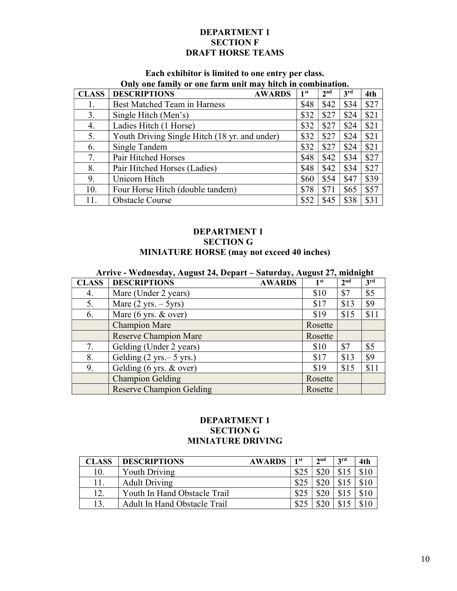#### DEPARTMENT 1 SECTION F DRAFT HORSE TEAMS

# Each exhibitor is limited to one entry per class.

|              | Only one family or one farm unit may hitch in combination. |               |                 |                 |                 |      |  |
|--------------|------------------------------------------------------------|---------------|-----------------|-----------------|-----------------|------|--|
| <b>CLASS</b> | <b>DESCRIPTIONS</b>                                        | <b>AWARDS</b> | 1 <sup>st</sup> | 2 <sub>nd</sub> | 3 <sup>rd</sup> | 4th  |  |
| 1.           | <b>Best Matched Team in Harness</b>                        |               | \$48            | \$42            | \$34            | \$27 |  |
| 3.           | Single Hitch (Men's)                                       |               | \$32            | \$27            | \$24            | \$21 |  |
| 4.           | Ladies Hitch (1 Horse)                                     |               | \$32            | \$27            | \$24            | \$21 |  |
| 5.           | Youth Driving Single Hitch (18 yr. and under)              |               | \$32            | \$27            | \$24            | \$21 |  |
| 6.           | Single Tandem                                              |               | \$32            | \$27            | \$24            | \$21 |  |
| 7.           | Pair Hitched Horses                                        |               | \$48            | \$42            | \$34            | \$27 |  |
| 8.           | Pair Hitched Horses (Ladies)                               |               | \$48            | \$42            | \$34            | \$27 |  |
| 9.           | Unicorn Hitch                                              |               | \$60            | \$54            | \$47            | \$39 |  |
| 10.          | Four Horse Hitch (double tandem)                           |               | \$78            | \$71            | \$65            | \$57 |  |
| 11.          | <b>Obstacle Course</b>                                     |               | \$52            | \$45            | \$38            | \$31 |  |

#### DEPARTMENT 1 SECTION G MINIATURE HORSE (may not exceed 40 inches)

|              | Arrive - Wednesday, August 24, Depart – Saturday, August 27, midnight |                 |                 |                 |  |  |  |
|--------------|-----------------------------------------------------------------------|-----------------|-----------------|-----------------|--|--|--|
| <b>CLASS</b> | <b>DESCRIPTIONS</b><br><b>AWARDS</b>                                  | 1 <sup>st</sup> | 2 <sup>nd</sup> | 3 <sup>rd</sup> |  |  |  |
| 4.           | Mare (Under 2 years)                                                  | \$10            | \$7             | \$5             |  |  |  |
| 5.           | Mare $(2 \text{ yrs.} - 5 \text{ yrs})$                               | \$17            | \$13            | \$9             |  |  |  |
| 6.           | Mare $(6 \text{ yrs.} \& \text{ over})$                               | \$19            | \$15            | \$11            |  |  |  |
|              | <b>Champion Mare</b>                                                  | Rosette         |                 |                 |  |  |  |
|              | <b>Reserve Champion Mare</b>                                          | Rosette         |                 |                 |  |  |  |
| 7.           | Gelding (Under 2 years)                                               | \$10            | \$7             | \$5             |  |  |  |
| 8.           | Gelding $(2 \text{ yrs.} - 5 \text{ yrs.})$                           | \$17            | \$13            | \$9             |  |  |  |
| 9.           | Gelding (6 yrs. & over)                                               | \$19            | \$15            | \$11            |  |  |  |
|              | <b>Champion Gelding</b>                                               | Rosette         |                 |                 |  |  |  |
|              | <b>Reserve Champion Gelding</b>                                       | Rosette         |                 |                 |  |  |  |

#### DEPARTMENT 1 SECTION G MINIATURE DRIVING

| CLASS | <b>DESCRIPTIONS</b>                 | <b>AWARDS</b> | 1 <sub>st</sub> | 2nd | <b>2rd</b> | 4th  |
|-------|-------------------------------------|---------------|-----------------|-----|------------|------|
| 10.   | <b>Youth Driving</b>                |               |                 |     | \$15       | \$10 |
|       | <b>Adult Driving</b>                |               |                 |     | \$15       | \$10 |
| 12.   | Youth In Hand Obstacle Trail        |               |                 | 000 | Q15        |      |
| 13.   | <b>Adult In Hand Obstacle Trail</b> |               |                 |     | \$15       |      |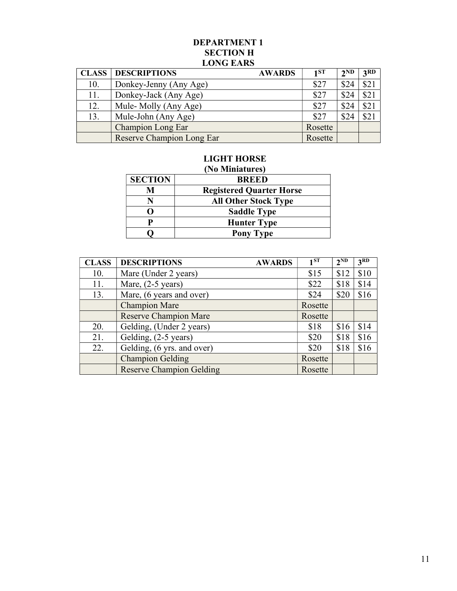#### DEPARTMENT 1 SECTION H LONG EARS

|     | <b>CLASS   DESCRIPTIONS</b><br><b>AWARDS</b> | 1ST     | 2 <sub>ND</sub> | 3RD  |
|-----|----------------------------------------------|---------|-----------------|------|
| 10. | Donkey-Jenny (Any Age)                       | \$27    | \$24            | \$21 |
| 11. | Donkey-Jack (Any Age)                        | \$27    | \$24            | \$21 |
| 12. | Mule-Molly (Any Age)                         | \$27    | \$24            | \$21 |
| 13. | Mule-John (Any Age)                          | \$27    | \$24            | \$21 |
|     | <b>Champion Long Ear</b>                     | Rosette |                 |      |
|     | <b>Reserve Champion Long Ear</b>             | Rosette |                 |      |

# LIGHT HORSE

| (No Miniatures) |                                 |  |  |  |  |
|-----------------|---------------------------------|--|--|--|--|
| <b>SECTION</b>  | <b>BREED</b>                    |  |  |  |  |
| M               | <b>Registered Quarter Horse</b> |  |  |  |  |
|                 | <b>All Other Stock Type</b>     |  |  |  |  |
|                 | <b>Saddle Type</b>              |  |  |  |  |
| P               | <b>Hunter Type</b>              |  |  |  |  |
|                 | <b>Pony Type</b>                |  |  |  |  |

| <b>CLASS</b> | <b>DESCRIPTIONS</b><br><b>AWARDS</b> | 1 <sup>ST</sup> | $2^{ND}$ | 3 <sup>RD</sup> |
|--------------|--------------------------------------|-----------------|----------|-----------------|
| 10.          | Mare (Under 2 years)                 | \$15            | \$12     | \$10            |
| 11.          | Mare, $(2-5 \text{ years})$          | \$22            | \$18     | \$14            |
| 13.          | Mare, (6 years and over)             | \$24            | \$20     | \$16            |
|              | <b>Champion Mare</b>                 | Rosette         |          |                 |
|              | <b>Reserve Champion Mare</b>         | Rosette         |          |                 |
| 20.          | Gelding, (Under 2 years)             | \$18            | \$16     | \$14            |
| 21.          | Gelding, (2-5 years)                 | \$20            | \$18     | \$16            |
| 22.          | Gelding, (6 yrs. and over)           | \$20            | \$18     | \$16            |
|              | <b>Champion Gelding</b>              | Rosette         |          |                 |
|              | <b>Reserve Champion Gelding</b>      | Rosette         |          |                 |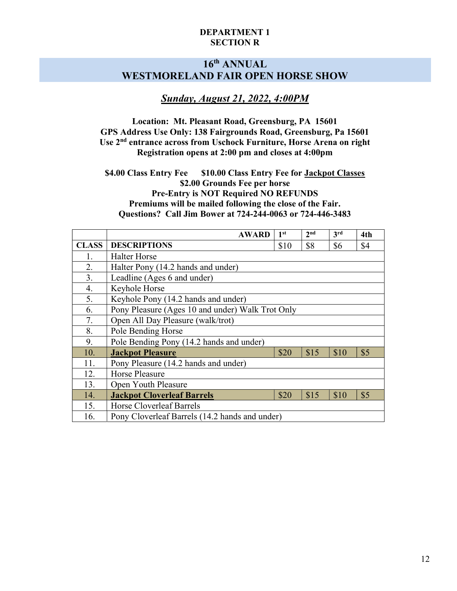#### DEPARTMENT 1 SECTION R

# 16th ANNUAL WESTMORELAND FAIR OPEN HORSE SHOW

# Sunday, August 21, 2022, 4:00PM

Location: Mt. Pleasant Road, Greensburg, PA 15601 GPS Address Use Only: 138 Fairgrounds Road, Greensburg, Pa 15601 Use 2nd entrance across from Uschock Furniture, Horse Arena on right Registration opens at 2:00 pm and closes at 4:00pm

\$4.00 Class Entry Fee \$10.00 Class Entry Fee for Jackpot Classes \$2.00 Grounds Fee per horse Pre-Entry is NOT Required NO REFUNDS Premiums will be mailed following the close of the Fair. Questions? Call Jim Bower at 724-244-0063 or 724-446-3483

|              | <b>AWARD</b>                                     | 1 <sup>st</sup> | 2 <sup>nd</sup> | 3rd  | 4th |  |  |
|--------------|--------------------------------------------------|-----------------|-----------------|------|-----|--|--|
| <b>CLASS</b> | <b>DESCRIPTIONS</b>                              | \$10            | \$8             | \$6  | \$4 |  |  |
| 1.           | <b>Halter Horse</b>                              |                 |                 |      |     |  |  |
| 2.           | Halter Pony (14.2 hands and under)               |                 |                 |      |     |  |  |
| 3.           | Leadline (Ages 6 and under)                      |                 |                 |      |     |  |  |
| 4.           | Keyhole Horse                                    |                 |                 |      |     |  |  |
| 5.           | Keyhole Pony (14.2 hands and under)              |                 |                 |      |     |  |  |
| 6.           | Pony Pleasure (Ages 10 and under) Walk Trot Only |                 |                 |      |     |  |  |
| 7.           | Open All Day Pleasure (walk/trot)                |                 |                 |      |     |  |  |
| 8.           | Pole Bending Horse                               |                 |                 |      |     |  |  |
| 9.           | Pole Bending Pony (14.2 hands and under)         |                 |                 |      |     |  |  |
| 10.          | <b>Jackpot Pleasure</b>                          | \$20            | \$15            | \$10 | \$5 |  |  |
| 11.          | Pony Pleasure (14.2 hands and under)             |                 |                 |      |     |  |  |
| 12.          | Horse Pleasure                                   |                 |                 |      |     |  |  |
| 13.          | Open Youth Pleasure                              |                 |                 |      |     |  |  |
| 14.          | <b>Jackpot Cloverleaf Barrels</b>                | \$20            | \$15            | \$10 | \$5 |  |  |
| 15.          | Horse Cloverleaf Barrels                         |                 |                 |      |     |  |  |
| 16.          | Pony Cloverleaf Barrels (14.2 hands and under)   |                 |                 |      |     |  |  |